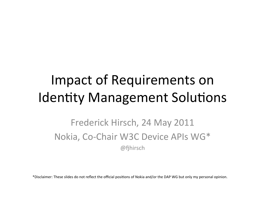# Impact of Requirements on Identity Management Solutions

#### Frederick Hirsch, 24 May 2011 Nokia, Co-Chair W3C Device APIs WG\*  $@f$ hirsch

\*Disclaimer: These slides do not reflect the official positions of Nokia and/or the DAP WG but only my personal opinion.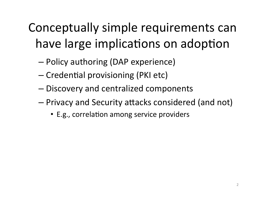## Conceptually simple requirements can have large implications on adoption

- Policy authoring (DAP experience)
- Credential provisioning (PKI etc)
- Discovery and centralized components
- Privacy and Security attacks considered (and not)
	- E.g., correlation among service providers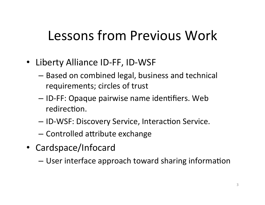# Lessons from Previous Work

- Liberty Alliance ID-FF, ID-WSF
	- Based on combined legal, business and technical requirements; circles of trust
	- ID-FF: Opaque pairwise name identifiers. Web redirection.
	- $-$  ID-WSF: Discovery Service, Interaction Service.
	- $-$  Controlled attribute exchange
- Cardspace/Infocard'
	- User interface approach toward sharing information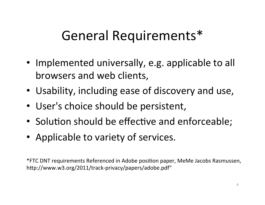# General Requirements\*

- Implemented universally, e.g. applicable to all browsers and web clients,
- Usability, including ease of discovery and use,
- User's choice should be persistent,
- Solution should be effective and enforceable;
- Applicable to variety of services.

\*FTC DNT requirements Referenced in Adobe position paper, MeMe Jacobs Rasmussen, http://www.w3.org/2011/track-privacy/papers/adobe.pdf"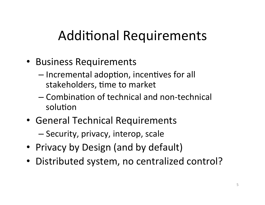# **Additional Requirements**

- Business Requirements
	- Incremental adoption, incentives for all stakeholders, time to market
	- Combination of technical and non-technical solution
- General Technical Requirements

- Security, privacy, interop, scale

- Privacy by Design (and by default)
- · Distributed system, no centralized control?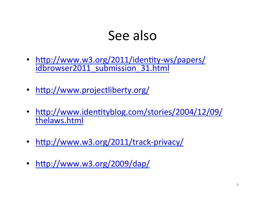#### See also

- http://www.w3.org/2011/identity-ws/papers/ idbrowser2011\_submission\_31.html
- http://www.projectliberty.org/
- http://www.identityblog.com/stories/2004/12/09/ thelaws.html''
- http://www.w3.org/2011/track-privacy/
- http://www.w3.org/2009/dap/